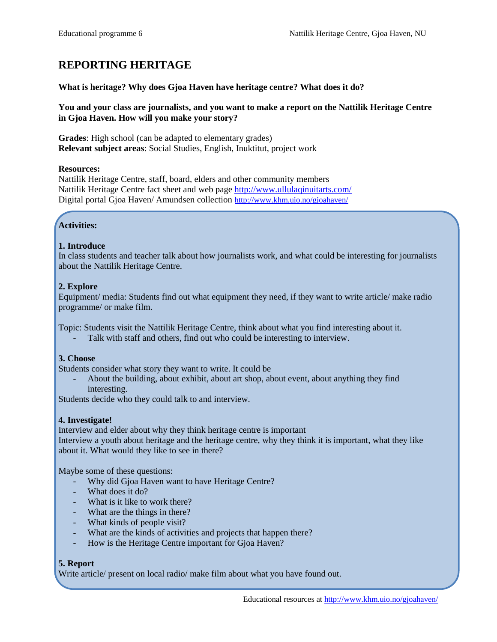# **REPORTING HERITAGE**

### **What is heritage? Why does Gjoa Haven have heritage centre? What does it do?**

#### **You and your class are journalists, and you want to make a report on the Nattilik Heritage Centre in Gjoa Haven. How will you make your story?**

**Grades**: High school (can be adapted to elementary grades) **Relevant subject areas**: Social Studies, English, Inuktitut, project work

#### **Resources:**

Nattilik Heritage Centre, staff, board, elders and other community members Nattilik Heritage Centre fact sheet and web page<http://www.ullulaqinuitarts.com/> Digital portal Gjoa Haven/ Amundsen collection <http://www.khm.uio.no/gjoahaven/>

## **Activities:**

#### **1. Introduce**

In class students and teacher talk about how journalists work, and what could be interesting for journalists about the Nattilik Heritage Centre.

#### **2. Explore**

Equipment/ media: Students find out what equipment they need, if they want to write article/ make radio programme/ or make film.

Topic: Students visit the Nattilik Heritage Centre, think about what you find interesting about it.

Talk with staff and others, find out who could be interesting to interview.

#### **3. Choose**

Students consider what story they want to write. It could be

- About the building, about exhibit, about art shop, about event, about anything they find interesting.

Students decide who they could talk to and interview.

#### **4. Investigate!**

Interview and elder about why they think heritage centre is important Interview a youth about heritage and the heritage centre, why they think it is important, what they like about it. What would they like to see in there?

Maybe some of these questions:

- Why did Gjoa Haven want to have Heritage Centre?
- What does it do?
- What is it like to work there?
- What are the things in there?
- What kinds of people visit?
- What are the kinds of activities and projects that happen there?
- How is the Heritage Centre important for Gjoa Haven?

#### **5. Report**

Write article/ present on local radio/ make film about what you have found out.